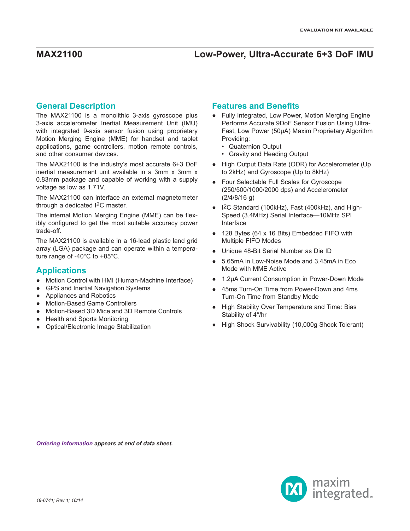### **General Description**

The MAX21100 is a monolithic 3-axis gyroscope plus 3-axis accelerometer Inertial Measurement Unit (IMU) with integrated 9-axis sensor fusion using proprietary Motion Merging Engine (MME) for handset and tablet applications, game controllers, motion remote controls, and other consumer devices.

The MAX21100 is the industry's most accurate 6+3 DoF inertial measurement unit available in a 3mm x 3mm x 0.83mm package and capable of working with a supply voltage as low as 1.71V.

The MAX21100 can interface an external magnetometer through a dedicated I2C master.

The internal Motion Merging Engine (MME) can be flexibly configured to get the most suitable accuracy power trade-off.

The MAX21100 is available in a 16-lead plastic land grid array (LGA) package and can operate within a temperature range of -40°C to +85°C.

### **Applications**

- Motion Control with HMI (Human-Machine Interface)
- GPS and Inertial Navigation Systems
- Appliances and Robotics
- **Motion-Based Game Controllers**
- Motion-Based 3D Mice and 3D Remote Controls
- **Health and Sports Monitoring**
- **Optical/Electronic Image Stabilization**

### **Features and Benefits**

- Fully Integrated, Low Power, Motion Merging Engine Performs Accurate 9DoF Sensor Fusion Using Ultra-Fast, Low Power (50µA) Maxim Proprietary Algorithm Providing:
	- Quaternion Output
	- Gravity and Heading Output
- High Output Data Rate (ODR) for Accelerometer (Up to 2kHz) and Gyroscope (Up to 8kHz)
- Four Selectable Full Scales for Gyroscope (250/500/1000/2000 dps) and Accelerometer (2/4/8/16 g)
- I<sup>2</sup>C Standard (100kHz), Fast (400kHz), and High-Speed (3.4MHz) Serial Interface—10MHz SPI Interface
- 128 Bytes (64 x 16 Bits) Embedded FIFO with Multiple FIFO Modes
- Unique 48-Bit Serial Number as Die ID
- 5.65mA in Low-Noise Mode and 3.45mA in Eco Mode with MME Active
- 1.2µA Current Consumption in Power-Down Mode
- 45ms Turn-On Time from Power-Down and 4ms Turn-On Time from Standby Mode
- High Stability Over Temperature and Time: Bias Stability of 4°/hr
- High Shock Survivability (10,000g Shock Tolerant)

*[Ordering Information](#page-28-0) appears at end of data sheet.*

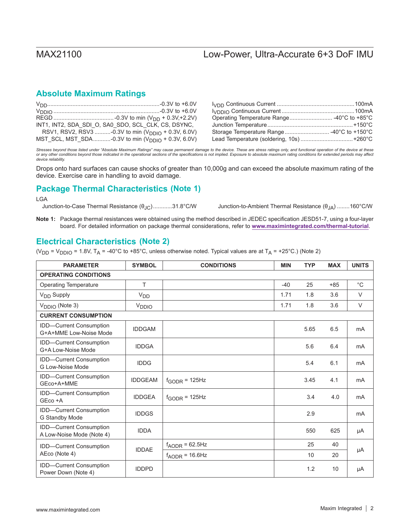## **Absolute Maximum Ratings**

| INT1, INT2, SDA SDI O, SA0_SDO, SCL_CLK, CS, DSYNC,            |                                            |
|----------------------------------------------------------------|--------------------------------------------|
| RSV1, RSV2, RSV3 -0.3V to min $(V_{\text{DDIO}} + 0.3V, 6.0V)$ | Storage Temperature Range  -40°C to +150°C |
| MST_SCL, MST_SDA-0.3V to min $(V_{\text{DDIO}} + 0.3V, 6.0V)$  |                                            |

Stresses beyond those listed under "Absolute Maximum Ratings" may cause permanent damage to the device. These are stress ratings only, and functional operation of the device at these<br>or any other conditions beyond those in *device reliability.*

Drops onto hard surfaces can cause shocks of greater than 10,000g and can exceed the absolute maximum rating of the device. Exercise care in handling to avoid damage.

## **Package Thermal Characteristics (Note 1)**

LGA<br>Junction-to-Case Thermal Resistance ( $\theta_{\text{JC}}$ )............31.8°C/W

Junction-to-Ambient Thermal Resistance (θ<sub>JA</sub>) ........160°C/W

**Note 1:** Package thermal resistances were obtained using the method described in JEDEC specification JESD51-7, using a four-layer board. For detailed information on package thermal considerations, refer to **www.maximintegrated.com/thermal-tutorial**.

## **Electrical Characteristics (Note 2)**

(V<sub>DD</sub> = V<sub>DDIO</sub> = 1.8V, T<sub>A</sub> = -40°C to +85°C, unless otherwise noted. Typical values are at T<sub>A</sub> = +25°C.) (Note 2)

| <b>PARAMETER</b>                                     | <b>SYMBOL</b>         | <b>CONDITIONS</b>                  | <b>MIN</b> | <b>TYP</b> | <b>MAX</b> | <b>UNITS</b>   |
|------------------------------------------------------|-----------------------|------------------------------------|------------|------------|------------|----------------|
| <b>OPERATING CONDITIONS</b>                          |                       |                                    |            |            |            |                |
| <b>Operating Temperature</b>                         | T                     |                                    | $-40$      | 25         | $+85$      | $^{\circ}C$    |
| V <sub>DD</sub> Supply                               | <b>V<sub>DD</sub></b> |                                    | 1.71       | 1.8        | 3.6        | $\vee$         |
| V <sub>DDIO</sub> (Note 3)                           | V <sub>DDIO</sub>     |                                    | 1.71       | 1.8        | 3.6        | $\vee$         |
| <b>CURRENT CONSUMPTION</b>                           |                       |                                    |            |            |            |                |
| IDD-Current Consumption<br>G+A+MME Low-Noise Mode    | <b>IDDGAM</b>         |                                    |            | 5.65       | 6.5        | m <sub>A</sub> |
| <b>IDD-Current Consumption</b><br>G+A Low-Noise Mode | <b>IDDGA</b>          |                                    |            | 5.6        | 6.4        | mA             |
| <b>IDD-Current Consumption</b><br>G Low-Noise Mode   | <b>IDDG</b>           |                                    |            | 5.4        | 6.1        | m <sub>A</sub> |
| IDD-Current Consumption<br>GEco+A+MME                | <b>IDDGEAM</b>        | $f_{GODR}$ = 125Hz                 |            | 3.45       | 4.1        | m <sub>A</sub> |
| IDD-Current Consumption<br>GEco +A                   | <b>IDDGEA</b>         | $f_{\text{GODR}} = 125$ Hz         |            | 3.4        | 4.0        | mA             |
| IDD-Current Consumption<br>G Standby Mode            | <b>IDDGS</b>          |                                    |            | 2.9        |            | m <sub>A</sub> |
| IDD-Current Consumption<br>A Low-Noise Mode (Note 4) | <b>IDDA</b>           |                                    |            | 550        | 625        | μA             |
| IDD-Current Consumption                              |                       | $f_{\text{AODR}} = 62.5 \text{Hz}$ |            | 25         | 40         |                |
| AEco (Note 4)                                        | <b>IDDAE</b>          | $f_{\text{AODR}}$ = 16.6Hz         |            | 10         | 20         | μA             |
| IDD-Current Consumption<br>Power Down (Note 4)       | <b>IDDPD</b>          |                                    |            | 1.2        | 10         | μA             |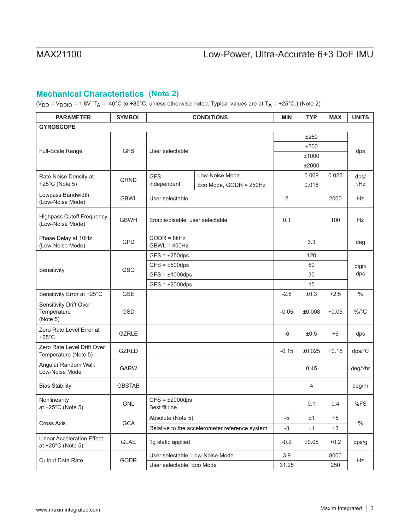## **Mechanical Characteristics (Note 2)**

(V<sub>DD</sub> = V<sub>DDIO</sub> = 1.8V, T<sub>A</sub> = -40°C to +85°C, unless otherwise noted. Typical values are at T<sub>A</sub> = +25°C.) (Note 2)

| <b>PARAMETER</b>                                          | <b>SYMBOL</b> | <b>CONDITIONS</b>                     |                                                | <b>MIN</b> | <b>TYP</b> | <b>MAX</b> | <b>UNITS</b>  |
|-----------------------------------------------------------|---------------|---------------------------------------|------------------------------------------------|------------|------------|------------|---------------|
| <b>GYROSCOPE</b>                                          |               |                                       |                                                |            |            |            |               |
|                                                           |               |                                       |                                                | ±250       |            |            |               |
|                                                           |               |                                       |                                                |            | ±500       |            |               |
| Full-Scale Range                                          | <b>GFS</b>    | User selectable                       |                                                | ±1000      |            |            | dps           |
|                                                           |               |                                       |                                                |            | ±2000      |            |               |
| Rate Noise Density at                                     | <b>GRND</b>   | <b>GFS</b>                            | Low-Noise Mode                                 |            | 0.009      | 0.025      | dps/          |
| +25 $^{\circ}$ C (Note 5)                                 |               | independent                           | Eco Mode, GODR = 250Hz                         |            | 0.018      |            | $\sqrt{Hz}$   |
| Lowpass Bandwidth<br>(Low-Noise Mode)                     | <b>GBWL</b>   | User selectable                       |                                                | 2          |            | 2000       | <b>Hz</b>     |
| <b>Highpass Cutoff Frequency</b><br>(Low-Noise Mode)      | <b>GBWH</b>   | Enable/disable, user selectable       |                                                | 0.1        |            | 100        | <b>Hz</b>     |
| Phase Delay at 10Hz<br>(Low-Noise Mode)                   | <b>GPD</b>    | $GODR = 8kHz$<br>$GBWL = 400Hz$       |                                                |            | 3.3        |            | deg           |
|                                                           |               | $GFS = \pm 250$ dps                   |                                                |            | 120        |            |               |
|                                                           | GSO           | $GFS = \pm 500$ dps                   |                                                |            | 60         |            | digit/        |
| Sensitivity                                               |               | $GFS = \pm 1000$ dps                  |                                                | 30         |            |            | dps           |
|                                                           |               | $GFS = \pm 2000$ dps                  |                                                | 15         |            |            |               |
| Sensitivity Error at +25°C                                | <b>GSE</b>    |                                       |                                                | $-2.5$     | ±0.3       | $+2.5$     | $\frac{0}{0}$ |
| Sensitivity Drift Over<br>Temperature<br>(Note 5)         | <b>GSD</b>    |                                       |                                                | $-0.05$    | ±0.008     | $+0.05$    | %/°C          |
| Zero Rate Level Error at<br>$+25^{\circ}$ C               | <b>GZRLE</b>  |                                       |                                                | $-6$       | ±0.5       | +6         | dps           |
| Zero Rate Level Drift Over<br>Temperature (Note 5)        | <b>GZRLD</b>  |                                       |                                                | $-0.15$    | ±0.025     | $+0.15$    | dps/°C        |
| Angular Random Walk<br>Low-Noise Mode                     | <b>GARW</b>   |                                       |                                                |            | 0.45       |            | deg/√hr       |
| <b>Bias Stability</b>                                     | <b>GBSTAB</b> |                                       |                                                |            | 4          |            | deg/hr        |
| Nonlinearity<br>at $+25^{\circ}$ C (Note 5)               | <b>GNL</b>    | $GFS = \pm 2000$ dps<br>Best fit line |                                                |            | 0.1        | 0.4        | %FS           |
|                                                           |               | Absolute (Note 5)                     |                                                | -5         | ±1         | +5         | $\%$          |
| Cross Axis                                                | <b>GCA</b>    |                                       | Relative to the accelerometer reference system | $-3$       | ±1         | +3         |               |
| Linear Acceleration Effect<br>at $+25^{\circ}$ C (Note 5) | GLAE          | 1g static applied                     |                                                | $-0.2$     | ±0.05      | $+0.2$     | dps/g         |
| Output Data Rate                                          |               | User selectable, Low-Noise Mode       |                                                | 3.9        |            | 8000       |               |
|                                                           | GODR          | User selectable, Eco Mode             |                                                | 31.25      |            | 250        | Hz            |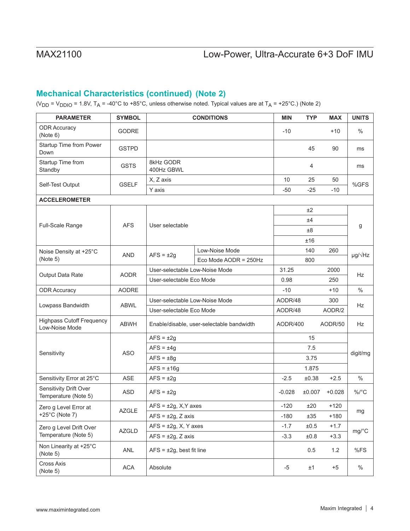## **Mechanical Characteristics (continued) (Note 2)**

(V<sub>DD</sub> = V<sub>DDIO</sub> = 1.8V, T<sub>A</sub> = -40°C to +85°C, unless otherwise noted. Typical values are at T<sub>A</sub> = +25°C.) (Note 2)

| <b>PARAMETER</b>                                   | <b>SYMBOL</b> |                                           | <b>CONDITIONS</b>              | <b>MIN</b> | <b>TYP</b> | <b>MAX</b> | <b>UNITS</b>                |
|----------------------------------------------------|---------------|-------------------------------------------|--------------------------------|------------|------------|------------|-----------------------------|
| <b>ODR Accuracy</b><br>(Note 6)                    | <b>GODRE</b>  |                                           |                                | $-10$      |            | $+10$      | $\frac{0}{0}$               |
| Startup Time from Power<br>Down                    | <b>GSTPD</b>  |                                           |                                |            | 45         | 90         | ms                          |
| Startup Time from<br>Standby                       | <b>GSTS</b>   | 8kHz GODR<br>400Hz GBWL                   |                                |            | 4          |            | ms                          |
|                                                    | <b>GSELF</b>  | X, Z axis                                 |                                | 10         | 25         | 50         | %GFS                        |
| Self-Test Output                                   |               | Y axis                                    |                                | $-50$      | $-25$      | $-10$      |                             |
| <b>ACCELEROMETER</b>                               |               |                                           |                                |            |            |            |                             |
|                                                    |               |                                           |                                |            | ±2         |            |                             |
| Full-Scale Range                                   | <b>AFS</b>    | User selectable                           |                                |            | ±4         |            |                             |
|                                                    |               |                                           |                                |            | ±8         |            | g                           |
|                                                    |               |                                           |                                |            | ±16        |            |                             |
| Noise Density at +25°C                             | <b>AND</b>    |                                           | Low-Noise Mode                 |            | 140        | 260        |                             |
| (Note 5)                                           |               | $AFS = \pm 2g$                            | Eco Mode AODR = $250Hz$        |            | 800        |            | $\mu$ g/ $\sqrt{\text{Hz}}$ |
|                                                    |               |                                           | User-selectable Low-Noise Mode |            |            | 2000       |                             |
| Output Data Rate                                   | <b>AODR</b>   | User-selectable Eco Mode                  |                                | 0.98       |            | 250        | <b>Hz</b>                   |
| <b>ODR Accuracy</b>                                | <b>AODRE</b>  |                                           |                                | $-10$      |            | $+10$      | $\frac{0}{0}$               |
|                                                    |               | User-selectable Low-Noise Mode            |                                | AODR/48    |            | 300        |                             |
| Lowpass Bandwidth                                  | <b>ABWL</b>   | User-selectable Eco Mode                  |                                | AODR/48    |            | AODR/2     | Hz                          |
| <b>Highpass Cutoff Frequency</b><br>Low-Noise Mode | ABWH          | Enable/disable, user-selectable bandwidth |                                | AODR/400   |            | AODR/50    | Hz                          |
|                                                    |               | $AFS = \pm 2g$                            |                                |            | 15         |            |                             |
|                                                    |               | $AFS = \pm 4g$                            |                                | 7.5        |            |            | digit/mg                    |
| Sensitivity                                        | <b>ASO</b>    | $AFS = \pm 8g$                            |                                | 3.75       |            |            |                             |
|                                                    |               | $AFS = \pm 16g$                           |                                |            | 1.875      |            |                             |
| Sensitivity Error at 25°C                          | ASE           | $AFS = \pm 2g$                            |                                | $-2.5$     | ±0.38      | $+2.5$     | $\%$                        |
| Sensitivity Drift Over<br>Temperature (Note 5)     | <b>ASD</b>    | $AFS = \pm 2g$                            |                                |            | ±0.007     | $+0.028$   | %/°C                        |
| Zero g Level Error at                              |               | $AFS = \pm 2g$ , X, Y axes                |                                | $-120$     | ±20        | $+120$     |                             |
| $+25^{\circ}$ C (Note 7)                           | <b>AZGLE</b>  | $AFS = \pm 2g$ , Z axis                   |                                | $-180$     | ±35        | $+180$     | mg                          |
| Zero g Level Drift Over                            |               | $AFS = \pm 2g$ , X, Y axes                |                                | $-1.7$     | $\pm 0.5$  | $+1.7$     |                             |
| Temperature (Note 5)                               | <b>AZGLD</b>  | $AFS = \pm 2g$ , Z axis                   |                                | $-3.3$     | ±0.8       | $+3.3$     | mg/°C                       |
| Non Linearity at +25°C<br>(Note 5)                 | ANL           | $AFS = \pm 2g$ , best fit line            |                                |            | 0.5        | $1.2$      | %FS                         |
| Cross Axis<br>(Note 5)                             | ACA           | Absolute                                  |                                | -5         | ±1         | $+5$       | $\%$                        |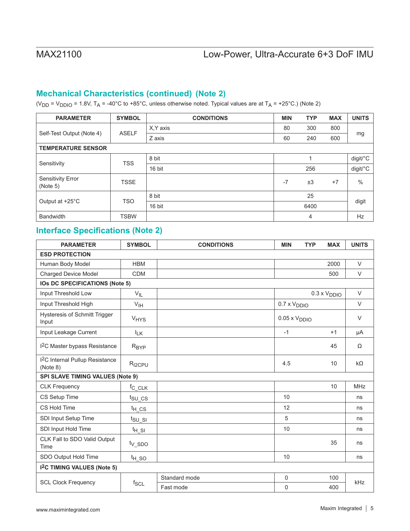## **Mechanical Characteristics (continued) (Note 2)**

(V<sub>DD</sub> = V<sub>DDIO</sub> = 1.8V, T<sub>A</sub> = -40°C to +85°C, unless otherwise noted. Typical values are at T<sub>A</sub> = +25°C.) (Note 2)

| <b>PARAMETER</b>                     | <b>SYMBOL</b> | <b>CONDITIONS</b> | <b>MIN</b> | <b>TYP</b>     | <b>MAX</b> | <b>UNITS</b> |  |
|--------------------------------------|---------------|-------------------|------------|----------------|------------|--------------|--|
|                                      | <b>ASELF</b>  | X.Y axis          | 80         | 300            | 800        |              |  |
| Self-Test Output (Note 4)            |               | Z axis            | 60         | 240            | 600        | mg           |  |
| <b>TEMPERATURE SENSOR</b>            |               |                   |            |                |            |              |  |
|                                      | <b>TSS</b>    | 8 bit             |            |                |            | digit/°C     |  |
| Sensitivity                          |               | 16 bit            |            | 256            |            | digit/°C     |  |
| <b>Sensitivity Error</b><br>(Note 5) | <b>TSSE</b>   |                   | $-7$       | ±3             | $+7$       | $\%$         |  |
| Output at +25°C                      |               | 8 bit             |            | 25             |            |              |  |
|                                      | <b>TSO</b>    | 16 bit            |            | 6400           |            | digit        |  |
| <b>Bandwidth</b>                     | <b>TSBW</b>   |                   |            | $\overline{4}$ |            | Hz           |  |

## **(Note 2) Interface Specifications**

| <b>PARAMETER</b>                                      | <b>SYMBOL</b>                 | <b>CONDITIONS</b> | <b>MIN</b>                    | <b>TYP</b> | <b>MAX</b>                   | <b>UNITS</b> |  |  |
|-------------------------------------------------------|-------------------------------|-------------------|-------------------------------|------------|------------------------------|--------------|--|--|
| <b>ESD PROTECTION</b>                                 |                               |                   |                               |            |                              |              |  |  |
| Human Body Model                                      | <b>HBM</b>                    |                   |                               |            | 2000                         | $\vee$       |  |  |
| <b>Charged Device Model</b>                           | <b>CDM</b>                    |                   |                               |            | 500                          | $\vee$       |  |  |
| <b>IOs DC SPECIFICATIONS (Note 5)</b>                 |                               |                   |                               |            |                              |              |  |  |
| Input Threshold Low                                   | $V_{IL}$                      |                   |                               |            | $0.3 \times V_{\text{DDIO}}$ | $\vee$       |  |  |
| Input Threshold High                                  | V <sub>IH</sub>               |                   | $0.7 \times V_{DDIO}$         |            |                              | $\vee$       |  |  |
| <b>Hysteresis of Schmitt Trigger</b><br>Input         | <b>V<sub>HYS</sub></b>        |                   | $0.05 \times V_{\text{DDIO}}$ |            |                              | $\vee$       |  |  |
| Input Leakage Current                                 | $I_{LK}$                      |                   | $-1$                          |            | $+1$                         | μA           |  |  |
| I <sup>2</sup> C Master bypass Resistance             | R <sub>BYP</sub>              |                   |                               |            | 45                           | Ω            |  |  |
| <sup>2</sup> C Internal Pullup Resistance<br>(Note 8) | R <sub>I2CPU</sub>            |                   | 4.5                           |            | 10                           | $k\Omega$    |  |  |
| <b>SPI SLAVE TIMING VALUES (Note 9)</b>               |                               |                   |                               |            |                              |              |  |  |
| <b>CLK Frequency</b>                                  | $f_{C\_CLK}$                  |                   |                               |            | 10                           | <b>MHz</b>   |  |  |
| CS Setup Time                                         | $t_{\text{SU\_CS}}$           |                   | 10                            |            |                              | ns           |  |  |
| CS Hold Time                                          | <sup>t</sup> H CS             |                   | 12                            |            |                              | ns           |  |  |
| SDI Input Setup Time                                  | $t_{\text{SU}}$ <sub>SI</sub> |                   | 5                             |            |                              | ns           |  |  |
| SDI Input Hold Time                                   | $t_{H_S}$                     |                   | 10                            |            |                              | ns           |  |  |
| CLK Fall to SDO Valid Output<br>Time                  | t <sub>V_SDO</sub>            |                   |                               |            | 35                           | ns           |  |  |
| SDO Output Hold Time                                  | $t_{H_SQ}$                    |                   | 10                            |            |                              | ns           |  |  |
| I <sup>2</sup> C TIMING VALUES (Note 5)               |                               |                   |                               |            |                              |              |  |  |
|                                                       |                               | Standard mode     | $\mathbf 0$                   |            | 100                          |              |  |  |
| <b>SCL Clock Frequency</b>                            | $f_{SCL}$                     | Fast mode         | 0                             |            | 400                          | kHz          |  |  |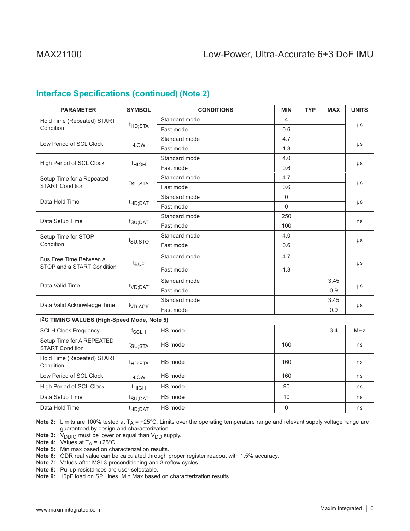## **(Note 2) Interface Specifications (continued)**

| <b>PARAMETER</b>                                         | <b>SYMBOL</b>       | <b>CONDITIONS</b> | <b>MIN</b>          | <b>TYP</b> | <b>MAX</b> | <b>UNITS</b> |  |
|----------------------------------------------------------|---------------------|-------------------|---------------------|------------|------------|--------------|--|
| Hold Time (Repeated) START                               |                     | Standard mode     | $\overline{4}$      |            |            |              |  |
| Condition                                                | <sup>t</sup> HD;STA | Fast mode         | 0.6                 |            |            | μs           |  |
|                                                          |                     | Standard mode     | 4.7                 |            |            | μs           |  |
| Low Period of SCL Clock                                  | t <sub>LOW</sub>    | Fast mode         | 1.3                 |            |            |              |  |
|                                                          |                     | Standard mode     | 4.0                 |            |            |              |  |
| High Period of SCL Clock                                 | t <sub>HIGH</sub>   | Fast mode         | 0.6                 |            |            | μs           |  |
| Setup Time for a Repeated                                |                     | Standard mode     | 4.7                 |            |            |              |  |
| <b>START Condition</b>                                   | t <sub>SU;STA</sub> | Fast mode         | 0.6                 |            |            | μs           |  |
| Data Hold Time                                           |                     | Standard mode     | $\mathsf{O}\xspace$ |            |            |              |  |
|                                                          | t <sub>HD;DAT</sub> | Fast mode         | $\mathbf 0$         |            |            | μs           |  |
|                                                          |                     | Standard mode     | 250                 |            |            | ns           |  |
| Data Setup Time                                          | t <sub>SU;DAT</sub> | Fast mode         | 100                 |            |            |              |  |
| Setup Time for STOP                                      |                     | Standard mode     | 4.0                 |            |            |              |  |
| Condition                                                | t <sub>su;sto</sub> | Fast mode         | 0.6                 |            |            | μs           |  |
| Bus Free Time Between a<br>STOP and a START Condition    | t <sub>BUF</sub>    | Standard mode     | 4.7                 |            |            | μs           |  |
|                                                          |                     | Fast mode         | 1.3                 |            |            |              |  |
|                                                          | t <sub>VD;DAT</sub> | Standard mode     |                     |            | 3.45       |              |  |
| Data Valid Time                                          |                     | Fast mode         |                     |            | 0.9        | μs           |  |
|                                                          |                     | Standard mode     |                     |            | 3.45       | μs           |  |
| Data Valid Acknowledge Time                              | t <sub>VD;ACK</sub> | Fast mode         |                     |            | 0.9        |              |  |
| I <sup>2</sup> C TIMING VALUES (High-Speed Mode, Note 5) |                     |                   |                     |            |            |              |  |
| <b>SCLH Clock Frequency</b>                              | f <sub>SCLH</sub>   | HS mode           |                     |            | 3.4        | <b>MHz</b>   |  |
| Setup Time for A REPEATED<br><b>START Condition</b>      | t <sub>SU;STA</sub> | HS mode           | 160                 |            |            | ns           |  |
| Hold Time (Repeated) START<br>Condition                  | <sup>t</sup> HD;STA | HS mode           | 160                 |            |            | ns           |  |
| Low Period of SCL Clock                                  | t <sub>LOW</sub>    | HS mode           | 160                 |            |            | ns           |  |
| <b>High Period of SCL Clock</b>                          | t <sub>HIGH</sub>   | HS mode           | 90                  |            |            | ns           |  |
| Data Setup Time                                          | t <sub>SU;DAT</sub> | HS mode           | 10                  |            |            | ns           |  |
| Data Hold Time                                           | <sup>t</sup> HD;DAT | HS mode           | $\mathbf 0$         |            |            | ns           |  |

**Note 2:** Limits are 100% tested at  $T_A = +25^\circ$ C. Limits over the operating temperature range and relevant supply voltage range are guaranteed by design and characterization.

**Note 3:** V<sub>DDIO</sub> must be lower or equal than V<sub>DD</sub> supply.

**Note 4:** Values at  $T_A$  = +25°C.

**Note 5:** Min max based on characterization results.

**Note 6:** ODR real value can be calculated through proper register readout with 1.5% accuracy.

**Note 7:** Values after MSL3 preconditioning and 3 reflow cycles.

**Note 8:** Pullup resistances are user selectable.

**Note 9:** 10pF load on SPI lines. Min Max based on characterization results.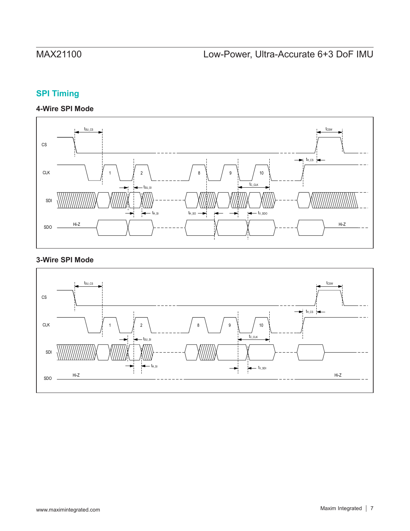# **SPI Timing**

## **4-Wire SPI Mode**



## **3-Wire SPI Mode**

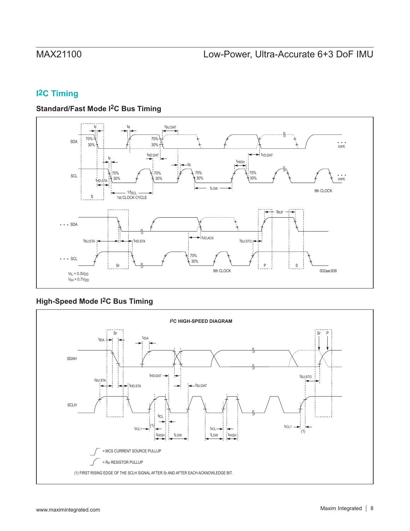# **I2C Timing**

## **Standard/Fast Mode I2C Bus Timing**



## **High-Speed Mode I2C Bus Timing**

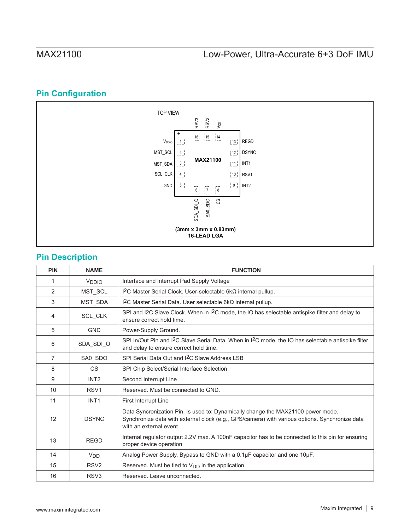### TOP VIEW RSV3 RSV2 1∣RSV3 V<sub>DD</sub>  $\begin{bmatrix} 16 \\ 15 \end{bmatrix}$   $\begin{bmatrix} 14 \\ 14 \end{bmatrix}$ V<sub>DDIO</sub>  $\overline{11}$ 13 | REGD MST\_SCL  $\overline{2}$  $\bar{[}1\bar{2}\bar{]}$ DSYNC **MAX21100** MST\_SDA 3 11 || INT1 SCL\_CLK 4 10<sup>1</sup> RSV1 GND 5 9\_¦ INT2  $\begin{bmatrix} 6 \\ 1 \end{bmatrix} \quad \begin{bmatrix} 7 \\ 2 \end{bmatrix} \quad \begin{bmatrix} 8 \\ 1 \end{bmatrix}$ SA0\_SDO  $SDA$ <sub>\_ $SDI$ </sub> $O$  $\overline{\mathbf{c}}$ SDA\_SDI\_O **(3mm x 3mm x 0.83mm) 16-LEAD LGA**

# **Pin Configuration**

## **Pin Description**

| <b>PIN</b>     | <b>NAME</b>       | <b>FUNCTION</b>                                                                                                                                                                                               |
|----------------|-------------------|---------------------------------------------------------------------------------------------------------------------------------------------------------------------------------------------------------------|
| 1              | V <sub>DDIO</sub> | Interface and Interrupt Pad Supply Voltage                                                                                                                                                                    |
| 2              | MST_SCL           | $12$ C Master Serial Clock. User-selectable 6kΩ internal pullup.                                                                                                                                              |
| 3              | MST_SDA           | I <sup>2</sup> C Master Serial Data. User selectable $6k\Omega$ internal pullup.                                                                                                                              |
| 4              | SCL_CLK           | SPI and I2C Slave Clock. When in I <sup>2</sup> C mode, the IO has selectable antispike filter and delay to<br>ensure correct hold time.                                                                      |
| 5              | <b>GND</b>        | Power-Supply Ground.                                                                                                                                                                                          |
| 6              | SDA_SDI_O         | SPI In/Out Pin and I <sup>2</sup> C Slave Serial Data. When in I <sup>2</sup> C mode, the IO has selectable antispike filter<br>and delay to ensure correct hold time.                                        |
| $\overline{7}$ | SA0_SDO           | SPI Serial Data Out and I <sup>2</sup> C Slave Address LSB                                                                                                                                                    |
| 8              | <b>CS</b>         | SPI Chip Select/Serial Interface Selection                                                                                                                                                                    |
| 9              | INT <sub>2</sub>  | Second Interrupt Line                                                                                                                                                                                         |
| 10             | RSV <sub>1</sub>  | Reserved. Must be connected to GND.                                                                                                                                                                           |
| 11             | INT <sub>1</sub>  | <b>First Interrupt Line</b>                                                                                                                                                                                   |
| 12             | <b>DSYNC</b>      | Data Syncronization Pin. Is used to: Dynamically change the MAX21100 power mode.<br>Synchronize data with external clock (e.g., GPS/camera) with various options. Synchronize data<br>with an external event. |
| 13             | <b>REGD</b>       | Internal regulator output 2.2V max. A 100nF capacitor has to be connected to this pin for ensuring<br>proper device operation                                                                                 |
| 14             | V <sub>DD</sub>   | Analog Power Supply. Bypass to GND with a 0.1µF capacitor and one 10µF.                                                                                                                                       |
| 15             | RSV <sub>2</sub>  | Reserved. Must be tied to $V_{DD}$ in the application.                                                                                                                                                        |
| 16             | RSV <sub>3</sub>  | Reserved, Leave unconnected.                                                                                                                                                                                  |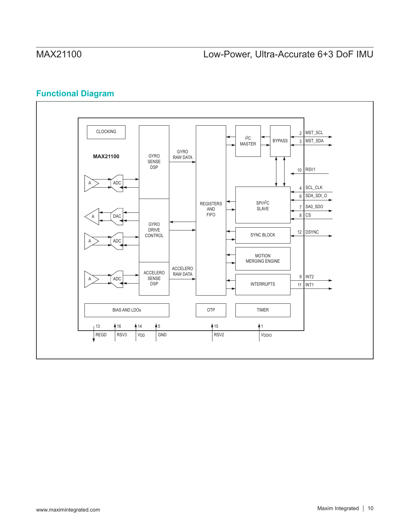# **Functional Diagram**

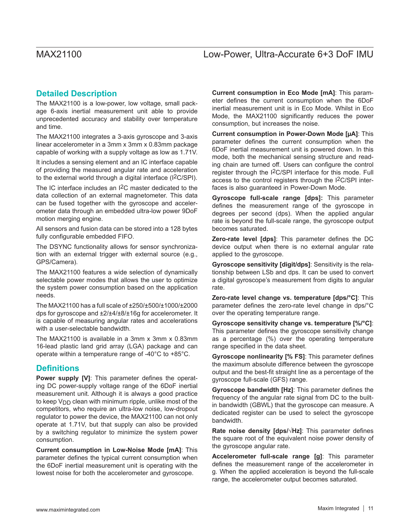## **Detailed Description**

The MAX21100 is a low-power, low voltage, small package 6-axis inertial measurement unit able to provide unprecedented accuracy and stability over temperature and time.

The MAX21100 integrates a 3-axis gyroscope and 3-axis linear accelerometer in a 3mm x 3mm x 0.83mm package capable of working with a supply voltage as low as 1.71V.

It includes a sensing element and an IC interface capable of providing the measured angular rate and acceleration to the external world through a digital interface (I2C/SPI).

The IC interface includes an I2C master dedicated to the data collection of an external magnetometer. This data can be fused together with the gyroscope and accelerometer data through an embedded ultra-low power 9DoF motion merging engine.

All sensors and fusion data can be stored into a 128 bytes fully configurable embedded FIFO.

The DSYNC functionality allows for sensor synchronization with an external trigger with external source (e.g., GPS/Camera).

The MAX21100 features a wide selection of dynamically selectable power modes that allows the user to optimize the system power consumption based on the application needs.

The MAX21100 has a full scale of ±250/±500/±1000/±2000 dps for gyroscope and ±2/±4/±8/±16g for accelerometer. It is capable of measuring angular rates and accelerations with a user-selectable bandwidth.

The MAX21100 is available in a 3mm x 3mm x 0.83mm 16-lead plastic land grid array (LGA) package and can operate within a temperature range of -40°C to +85°C.

## **Definitions**

**Power supply [V]**: This parameter defines the operating DC power-supply voltage range of the 6DoF inertial measurement unit. Although it is always a good practice to keep  $V_{\text{DD}}$  clean with minimum ripple, unlike most of the competitors, who require an ultra-low noise, low-dropout regulator to power the device, the MAX21100 can not only operate at 1.71V, but that supply can also be provided by a switching regulator to minimize the system power consumption.

**Current consumption in Low-Noise Mode [mA]**: This parameter defines the typical current consumption when the 6DoF inertial measurement unit is operating with the lowest noise for both the accelerometer and gyroscope.

**Current consumption in Eco Mode [mA]**: This parameter defines the current consumption when the 6DoF inertial measurement unit is in Eco Mode. Whilst in Eco Mode, the MAX21100 significantly reduces the power consumption, but increases the noise.

**Current consumption in Power-Down Mode [µA]**: This parameter defines the current consumption when the 6DoF inertial measurement unit is powered down. In this mode, both the mechanical sensing structure and reading chain are turned off. Users can configure the control register through the I2C/SPI interface for this mode. Full access to the control registers through the I2C/SPI interfaces is also guaranteed in Power-Down Mode.

**Gyroscope full-scale range [dps]:** This parameter defines the measurement range of the gyroscope in degrees per second (dps). When the applied angular rate is beyond the full-scale range, the gyroscope output becomes saturated.

**Zero-rate level [dps]**: This parameter defines the DC device output when there is no external angular rate applied to the gyroscope.

**Gyroscope sensitivity [digit/dps]**: Sensitivity is the relationship between LSb and dps. It can be used to convert a digital gyroscope's measurement from digits to angular rate.

**Zero-rate level change vs. temperature [dps/°C]**: This parameter defines the zero-rate level change in dps/°C over the operating temperature range.

**Gyroscope sensitivity change vs. temperature [%/°C]**: This parameter defines the gyroscope sensitivity change as a percentage (%) over the operating temperature range specified in the data sheet.

**Gyroscope nonlinearity [% FS]**: This parameter defines the maximum absolute difference between the gyroscope output and the best-fit straight line as a percentage of the gyroscope full-scale (GFS) range.

**Gyroscope bandwidth [Hz]**: This parameter defines the frequency of the angular rate signal from DC to the builtin bandwidth (GBWL) that the gyroscope can measure. A dedicated register can be used to select the gyroscope bandwidth.

**Rate noise density [dps/√Hz]**: This parameter defines the square root of the equivalent noise power density of the gyroscope angular rate.

**Accelerometer full-scale range [g]**: This parameter defines the measurement range of the accelerometer in g. When the applied acceleration is beyond the full-scale range, the accelerometer output becomes saturated.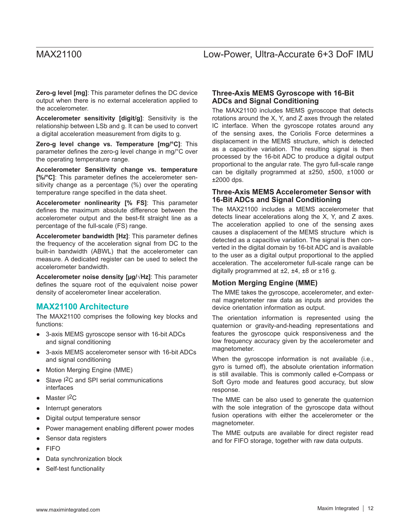**Zero-g level [mg]**: This parameter defines the DC device output when there is no external acceleration applied to the accelerometer.

**Accelerometer sensitivity [digit/g]**: Sensitivity is the relationship between LSb and g. It can be used to convert a digital acceleration measurement from digits to g.

**Zero-g level change vs. Temperature [mg/°C]**: This parameter defines the zero-g level change in mg/°C over the operating temperature range.

**Accelerometer Sensitivity change vs. temperature [%/°C]**: This parameter defines the accelerometer sensitivity change as a percentage (%) over the operating temperature range specified in the data sheet.

**Accelerometer nonlinearity [% FS]**: This parameter defines the maximum absolute difference between the accelerometer output and the best-fit straight line as a percentage of the full-scale (FS) range.

**Accelerometer bandwidth [Hz]**: This parameter defines the frequency of the acceleration signal from DC to the built-in bandwidth (ABWL) that the accelerometer can measure. A dedicated register can be used to select the accelerometer bandwidth.

**Accelerometer noise density [µg/√Hz]**: This parameter defines the square root of the equivalent noise power density of accelerometer linear acceleration.

### **MAX21100 Architecture**

The MAX21100 comprises the following key blocks and functions:

- 3-axis MEMS gyroscope sensor with 16-bit ADCs and signal conditioning
- 3-axis MEMS accelerometer sensor with 16-bit ADCs and signal conditioning
- Motion Merging Engine (MME)
- Slave I<sup>2</sup>C and SPI serial communications interfaces
- Master <sup>2</sup>C
- Interrupt generators
- Digital output temperature sensor
- Power management enabling different power modes
- Sensor data registers
- **FIFO**
- Data synchronization block
- Self-test functionality

### **Three-Axis MEMS Gyroscope with 16-Bit ADCs and Signal Conditioning**

The MAX21100 includes MEMS gyroscope that detects rotations around the X, Y, and Z axes through the related IC interface. When the gyroscope rotates around any of the sensing axes, the Coriolis Force determines a displacement in the MEMS structure, which is detected as a capacitive variation. The resulting signal is then processed by the 16-bit ADC to produce a digital output proportional to the angular rate. The gyro full-scale range can be digitally programmed at ±250, ±500, ±1000 or ±2000 dps.

### **Three-Axis MEMS Accelerometer Sensor with 16-Bit ADCs and Signal Conditioning**

The MAX21100 includes a MEMS accelerometer that detects linear accelerations along the X, Y, and Z axes. The acceleration applied to one of the sensing axes causes a displacement of the MEMS structure which is detected as a capacitive variation. The signal is then converted in the digital domain by 16-bit ADC and is available to the user as a digital output proportional to the applied acceleration. The accelerometer full-scale range can be digitally programmed at  $\pm 2$ ,  $\pm 4$ ,  $\pm 8$  or  $\pm 16$  g.

### **Motion Merging Engine (MME)**

The MME takes the gyroscope, accelerometer, and external magnetometer raw data as inputs and provides the device orientation information as output.

The orientation information is represented using the quaternion or gravity-and-heading representations and features the gyroscope quick responsiveness and the low frequency accuracy given by the accelerometer and magnetometer.

When the gyroscope information is not available (i.e., gyro is turned off), the absolute orientation information is still available. This is commonly called e-Compass or Soft Gyro mode and features good accuracy, but slow response.

The MME can be also used to generate the quaternion with the sole integration of the gyroscope data without fusion operations with either the accelerometer or the magnetometer.

The MME outputs are available for direct register read and for FIFO storage, together with raw data outputs.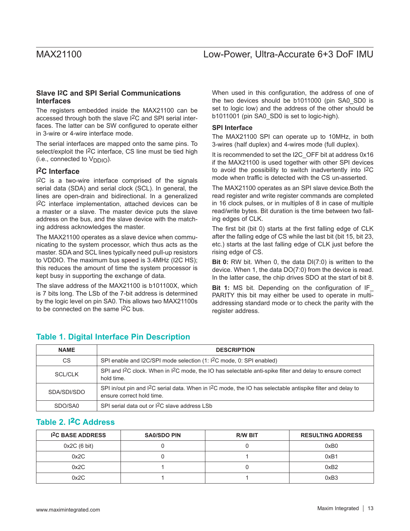### **Slave I2C and SPI Serial Communications Interfaces**

The registers embedded inside the MAX21100 can be accessed through both the slave I2C and SPI serial interfaces. The latter can be SW configured to operate either in 3-wire or 4-wire interface mode.

The serial interfaces are mapped onto the same pins. To select/exploit the I<sup>2</sup>C interface, CS line must be tied high  $(i.e., connected to V<sub>DDIO</sub>).$ 

### **I2C Interface**

I2C is a two-wire interface comprised of the signals serial data (SDA) and serial clock (SCL). In general, the lines are open-drain and bidirectional. In a generalized I2C interface implementation, attached devices can be a master or a slave. The master device puts the slave address on the bus, and the slave device with the matching address acknowledges the master.

The MAX21100 operates as a slave device when communicating to the system processor, which thus acts as the master. SDA and SCL lines typically need pull-up resistors to VDDIO. The maximum bus speed is 3.4MHz (I2C HS); this reduces the amount of time the system processor is kept busy in supporting the exchange of data.

The slave address of the MAX21100 is b101100X, which is 7 bits long. The LSb of the 7-bit address is determined by the logic level on pin SA0. This allows two MAX21100s to be connected on the same I2C bus.

When used in this configuration, the address of one of the two devices should be b1011000 (pin SA0\_SD0 is set to logic low) and the address of the other should be b1011001 (pin SA0\_SD0 is set to logic-high).

### **SPI Interface**

The MAX21100 SPI can operate up to 10MHz, in both 3-wires (half duplex) and 4-wires mode (full duplex).

It is recommended to set the I2C\_OFF bit at address 0x16 if the MAX21100 is used together with other SPI devices to avoid the possibility to switch inadvertently into I2C mode when traffic is detected with the CS un-asserted.

The MAX21100 operates as an SPI slave device.Both the read register and write register commands are completed in 16 clock pulses, or in multiples of 8 in case of multiple read/write bytes. Bit duration is the time between two falling edges of CLK.

The first bit (bit 0) starts at the first falling edge of CLK after the falling edge of CS while the last bit (bit 15, bit 23, etc.) starts at the last falling edge of CLK just before the rising edge of CS.

**Bit 0:** RW bit. When 0, the data DI(7:0) is written to the device. When 1, the data DO(7:0) from the device is read. In the latter case, the chip drives SDO at the start of bit 8.

**Bit 1:** MS bit. Depending on the configuration of IF\_ PARITY this bit may either be used to operate in multiaddressing standard mode or to check the parity with the register address.

## **Table 1. Digital Interface Pin Description**

| <b>NAME</b>    | <b>DESCRIPTION</b>                                                                                                                                               |
|----------------|------------------------------------------------------------------------------------------------------------------------------------------------------------------|
| CS             | SPI enable and I2C/SPI mode selection (1: I <sup>2</sup> C mode, 0: SPI enabled)                                                                                 |
| <b>SCL/CLK</b> | SPI and I <sup>2</sup> C clock. When in I <sup>2</sup> C mode, the IO has selectable anti-spike filter and delay to ensure correct<br>hold time.                 |
| SDA/SDI/SDO    | SPI in/out pin and I <sup>2</sup> C serial data. When in I <sup>2</sup> C mode, the IO has selectable antispike filter and delay to<br>ensure correct hold time. |
| SDO/SA0        | SPI serial data out or I <sup>2</sup> C slave address LSb                                                                                                        |

## **Table 2. I**2**C Address**

| <b>I<sup>2</sup>C BASE ADDRESS</b> | <b>SA0/SDO PIN</b> | <b>R/W BIT</b> | <b>RESULTING ADDRESS</b> |
|------------------------------------|--------------------|----------------|--------------------------|
| 0x2C(6 bit)                        |                    |                | 0xB0                     |
| 0x2C                               |                    |                | 0xB1                     |
| 0x2C                               |                    |                | 0xB2                     |
| 0x2C                               |                    |                | 0xB3                     |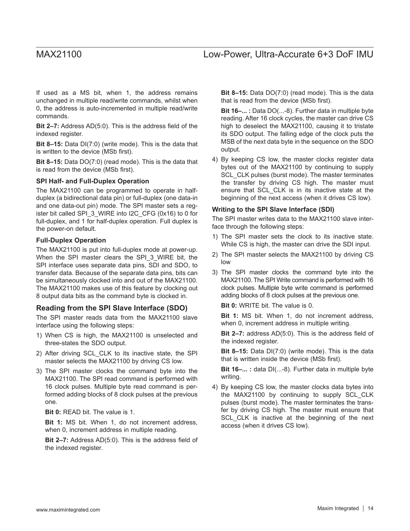If used as a MS bit, when 1, the address remains unchanged in multiple read/write commands, whilst when 0, the address is auto-incremented in multiple read/write commands.

**Bit 2–7:** Address AD(5:0). This is the address field of the indexed register.

**Bit 8–15:** Data DI(7:0) (write mode). This is the data that is written to the device (MSb first).

**Bit 8–15:** Data DO(7:0) (read mode). This is the data that is read from the device (MSb first).

### **SPI Half- and Full-Duplex Operation**

The MAX21100 can be programmed to operate in halfduplex (a bidirectional data pin) or full-duplex (one data-in and one data-out pin) mode. The SPI master sets a register bit called SPI\_3\_WIRE into I2C\_CFG (0x16) to 0 for full-duplex, and 1 for half-duplex operation. Full duplex is the power-on default.

### **Full-Duplex Operation**

The MAX21100 is put into full-duplex mode at power-up. When the SPI master clears the SPI\_3\_WIRE bit, the SPI interface uses separate data pins, SDI and SDO, to transfer data. Because of the separate data pins, bits can be simultaneously clocked into and out of the MAX21100. The MAX21100 makes use of this feature by clocking out 8 output data bits as the command byte is clocked in.

### **Reading from the SPI Slave Interface (SDO)**

The SPI master reads data from the MAX21100 slave interface using the following steps:

- 1) When CS is high, the MAX21100 is unselected and three-states the SDO output.
- 2) After driving SCL\_CLK to its inactive state, the SPI master selects the MAX21100 by driving CS low.
- 3) The SPI master clocks the command byte into the MAX21100. The SPI read command is performed with 16 clock pulses. Multiple byte read command is performed adding blocks of 8 clock pulses at the previous one.

**Bit 0:** READ bit. The value is 1.

**Bit 1:** MS bit. When 1, do not increment address, when 0, increment address in multiple reading.

**Bit 2–7:** Address AD(5:0). This is the address field of the indexed register.

**Bit 8–15:** Data DO(7:0) (read mode). This is the data that is read from the device (MSb first).

**Bit 16–... :** Data DO(...-8). Further data in multiple byte reading. After 16 clock cycles, the master can drive CS high to deselect the MAX21100, causing it to tristate its SDO output. The falling edge of the clock puts the MSB of the next data byte in the sequence on the SDO output.

4) By keeping CS low, the master clocks register data bytes out of the MAX21100 by continuing to supply SCL\_CLK pulses (burst mode). The master terminates the transfer by driving CS high. The master must ensure that SCL\_CLK is in its inactive state at the beginning of the next access (when it drives CS low).

### **Writing to the SPI Slave Interface (SDI)**

The SPI master writes data to the MAX21100 slave interface through the following steps:

- 1) The SPI master sets the clock to its inactive state. While CS is high, the master can drive the SDI input.
- 2) The SPI master selects the MAX21100 by driving CS low
- 3) The SPI master clocks the command byte into the MAX21100. The SPI Write command is performed with 16 clock pulses. Multiple byte write command is performed adding blocks of 8 clock pulses at the previous one.

**Bit 0:** WRITE bit. The value is 0.

**Bit 1:** MS bit. When 1, do not increment address, when 0, increment address in multiple writing.

**Bit 2–7:** address AD(5:0). This is the address field of the indexed register.

**Bit 8–15:** Data DI(7:0) (write mode). This is the data that is written inside the device (MSb first).

**Bit 16–...** : data DI(...-8). Further data in multiple byte writing.

4) By keeping CS low, the master clocks data bytes into the MAX21100 by continuing to supply SCL\_CLK pulses (burst mode). The master terminates the transfer by driving CS high. The master must ensure that SCL CLK is inactive at the beginning of the next access (when it drives CS low).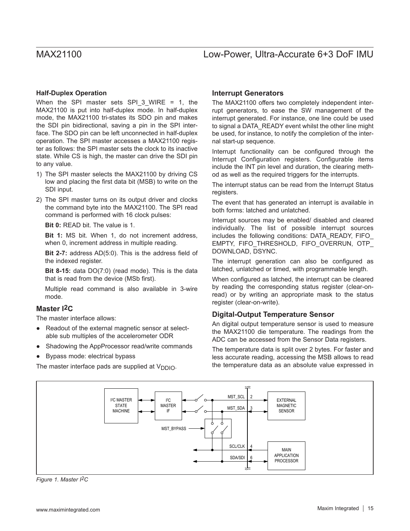### **Half-Duplex Operation**

When the SPI master sets SPI 3 WIRE = 1, the MAX21100 is put into half-duplex mode. In half-duplex mode, the MAX21100 tri-states its SDO pin and makes the SDI pin bidirectional, saving a pin in the SPI interface. The SDO pin can be left unconnected in half-duplex operation. The SPI master accesses a MAX21100 register as follows: the SPI master sets the clock to its inactive state. While CS is high, the master can drive the SDI pin to any value.

- 1) The SPI master selects the MAX21100 by driving CS low and placing the first data bit (MSB) to write on the SDI input.
- 2) The SPI master turns on its output driver and clocks the command byte into the MAX21100. The SPI read command is performed with 16 clock pulses:

**Bit 0:** READ bit. The value is 1.

**Bit 1:** MS bit. When 1, do not increment address, when 0, increment address in multiple reading.

**Bit 2-7:** address AD(5:0). This is the address field of the indexed register.

**Bit 8-15:** data DO(7:0) (read mode). This is the data that is read from the device (MSb first).

Multiple read command is also available in 3-wire mode.

### **Master I2C**

The master interface allows:

- Readout of the external magnetic sensor at selectable sub multiples of the accelerometer ODR
- Shadowing the AppProcessor read/write commands
- Bypass mode: electrical bypass

The master interface pads are supplied at  $V_{\text{DDIO}}$ .

### **Interrupt Generators**

The MAX21100 offers two completely independent interrupt generators, to ease the SW management of the interrupt generated. For instance, one line could be used to signal a DATA\_READY event whilst the other line might be used, for instance, to notify the completion of the internal start-up sequence.

Interrupt functionality can be configured through the Interrupt Configuration registers. Configurable items include the INT pin level and duration, the clearing method as well as the required triggers for the interrupts.

The interrupt status can be read from the Interrupt Status registers.

The event that has generated an interrupt is available in both forms: latched and unlatched.

Interrupt sources may be enabled/ disabled and cleared individually. The list of possible interrupt sources includes the following conditions: DATA\_READY, FIFO EMPTY, FIFO\_THRESHOLD, FIFO\_OVERRUN, OTP\_ DOWNLOAD, DSYNC.

The interrupt generation can also be configured as latched, unlatched or timed, with programmable length.

When configured as latched, the interrupt can be cleared by reading the corresponding status register (clear-onread) or by writing an appropriate mask to the status register (clear-on-write).

### **Digital-Output Temperature Sensor**

An digital output temperature sensor is used to measure the MAX21100 die temperature. The readings from the ADC can be accessed from the Sensor Data registers.

The temperature data is split over 2 bytes. For faster and less accurate reading, accessing the MSB allows to read the temperature data as an absolute value expressed in



*Figure 1. Master I2C*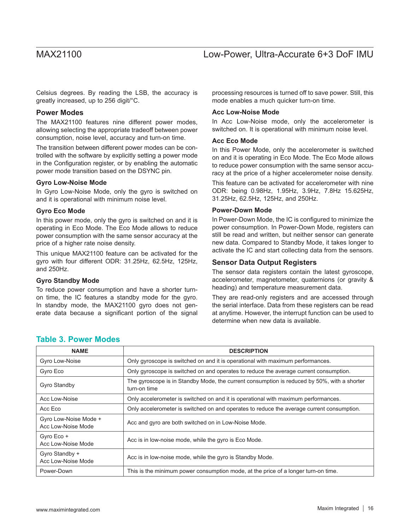Celsius degrees. By reading the LSB, the accuracy is greatly increased, up to 256 digit/°C.

### **Power Modes**

The MAX21100 features nine different power modes, allowing selecting the appropriate tradeoff between power consumption, noise level, accuracy and turn-on time.

The transition between different power modes can be controlled with the software by explicitly setting a power mode in the Configuration register, or by enabling the automatic power mode transition based on the DSYNC pin.

### **Gyro Low-Noise Mode**

In Gyro Low-Noise Mode, only the gyro is switched on and it is operational with minimum noise level.

### **Gyro Eco Mode**

In this power mode, only the gyro is switched on and it is operating in Eco Mode. The Eco Mode allows to reduce power consumption with the same sensor accuracy at the price of a higher rate noise density.

This unique MAX21100 feature can be activated for the gyro with four different ODR: 31.25Hz, 62.5Hz, 125Hz, and 250Hz.

### **Gyro Standby Mode**

To reduce power consumption and have a shorter turnon time, the IC features a standby mode for the gyro. In standby mode, the MAX21100 gyro does not generate data because a significant portion of the signal processing resources is turned off to save power. Still, this mode enables a much quicker turn-on time.

### **Acc Low-Noise Mode**

In Acc Low-Noise mode, only the accelerometer is switched on. It is operational with minimum noise level.

### **Acc Eco Mode**

In this Power Mode, only the accelerometer is switched on and it is operating in Eco Mode. The Eco Mode allows to reduce power consumption with the same sensor accuracy at the price of a higher accelerometer noise density.

This feature can be activated for accelerometer with nine ODR: being 0.98Hz, 1.95Hz, 3.9Hz, 7.8Hz 15.625Hz, 31.25Hz, 62.5Hz, 125Hz, and 250Hz.

### **Power-Down Mode**

In Power-Down Mode, the IC is configured to minimize the power consumption. In Power-Down Mode, registers can still be read and written, but neither sensor can generate new data. Compared to Standby Mode, it takes longer to activate the IC and start collecting data from the sensors.

### **Sensor Data Output Registers**

The sensor data registers contain the latest gyroscope, accelerometer, magnetometer, quaternions (or gravity & heading) and temperature measurement data.

They are read-only registers and are accessed through the serial interface. Data from these registers can be read at anytime. However, the interrupt function can be used to determine when new data is available.

| <b>NAME</b>                                 | <b>DESCRIPTION</b>                                                                                          |
|---------------------------------------------|-------------------------------------------------------------------------------------------------------------|
| Gyro Low-Noise                              | Only gyroscope is switched on and it is operational with maximum performances.                              |
| Gyro Eco                                    | Only gyroscope is switched on and operates to reduce the average current consumption.                       |
| Gyro Standby                                | The gyroscope is in Standby Mode, the current consumption is reduced by 50%, with a shorter<br>turn-on time |
| Acc Low-Noise                               | Only accelerometer is switched on and it is operational with maximum performances.                          |
| Acc Eco                                     | Only accelerometer is switched on and operates to reduce the average current consumption.                   |
| Gyro Low-Noise Mode +<br>Acc Low-Noise Mode | Acc and gyro are both switched on in Low-Noise Mode.                                                        |
| Gyro Eco +<br>Acc Low-Noise Mode            | Acc is in low-noise mode, while the gyro is Eco Mode.                                                       |
| Gyro Standby +<br>Acc Low-Noise Mode        | Acc is in low-noise mode, while the gyro is Standby Mode.                                                   |
| Power-Down                                  | This is the minimum power consumption mode, at the price of a longer turn-on time.                          |

### **Table 3. Power Modes**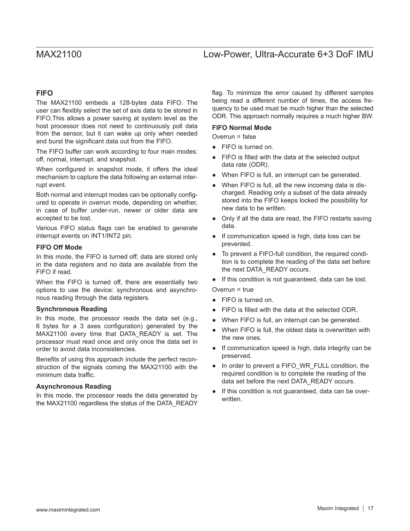### **FIFO**

The MAX21100 embeds a 128-bytes data FIFO. The user can flexibly select the set of axis data to be stored in FIFO.This allows a power saving at system level as the host processor does not need to continuously poll data from the sensor, but it can wake up only when needed and burst the significant data out from the FIFO.

The FIFO buffer can work according to four main modes: off, normal, interrupt, and snapshot.

When configured in snapshot mode, it offers the ideal mechanism to capture the data following an external interrupt event.

Both normal and interrupt modes can be optionally configured to operate in overrun mode, depending on whether, in case of buffer under-run, newer or older data are accepted to be lost.

Various FIFO status flags can be enabled to generate interrupt events on INT1/INT2 pin.

### **FIFO Off Mode**

In this mode, the FIFO is turned off; data are stored only in the data registers and no data are available from the FIFO if read.

When the FIFO is turned off, there are essentially two options to use the device: synchronous and asynchronous reading through the data registers.

### **Synchronous Reading**

In this mode, the processor reads the data set (e.g., 6 bytes for a 3 axes configuration) generated by the MAX21100 every time that DATA READY is set. The processor must read once and only once the data set in order to avoid data inconsistencies.

Benefits of using this approach include the perfect reconstruction of the signals coming the MAX21100 with the minimum data traffic.

### **Asynchronous Reading**

In this mode, the processor reads the data generated by the MAX21100 regardless the status of the DATA\_READY flag. To minimize the error caused by different samples being read a different number of times, the access frequency to be used must be much higher than the selected ODR. This approach normally requires a much higher BW.

### **FIFO Normal Mode**

Overrun = false

- FIFO is turned on.
- FIFO is filled with the data at the selected output data rate (ODR).
- When FIFO is full, an interrupt can be generated.
- When FIFO is full, all the new incoming data is discharged. Reading only a subset of the data already stored into the FIFO keeps locked the possibility for new data to be written.
- Only if all the data are read, the FIFO restarts saving data.
- If communication speed is high, data loss can be prevented.
- To prevent a FIFO-full condition, the required condition is to complete the reading of the data set before the next DATA\_READY occurs.
- If this condition is not guaranteed, data can be lost.

Overrun = true

- FIFO is turned on.
- FIFO is filled with the data at the selected ODR.
- When FIFO is full, an interrupt can be generated.
- When FIFO is full, the oldest data is overwritten with the new ones.
- If communication speed is high, data integrity can be preserved.
- In order to prevent a FIFO\_WR\_FULL condition, the required condition is to complete the reading of the data set before the next DATA\_READY occurs.
- If this condition is not guaranteed, data can be overwritten.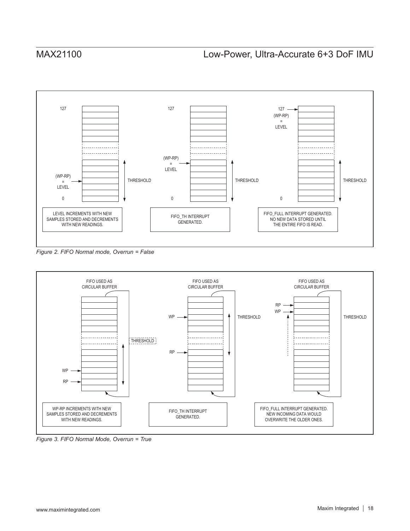

*Figure 2. FIFO Normal mode, Overrun = False* 



*Figure 3. FIFO Normal Mode, Overrun = True*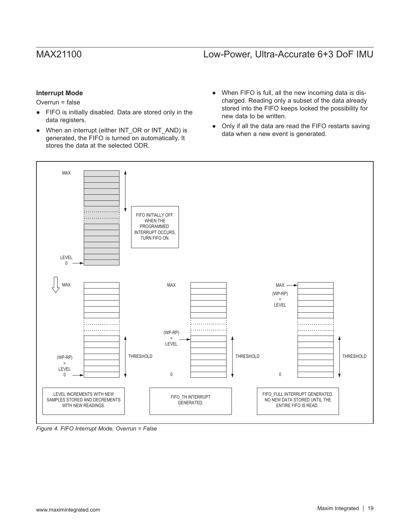### **Interrupt Mode**

Overrun = false

- FIFO is initially disabled. Data are stored only in the data registers.
- When an interrupt (either INT\_OR or INT\_AND) is generated, the FIFO is turned on automatically. It stores the data at the selected ODR.
- When FIFO is full, all the new incoming data is discharged. Reading only a subset of the data already stored into the FIFO keeps locked the possibility for new data to be written.
- Only if all the data are read the FIFO restarts saving data when a new event is generated.



*Figure 4. FIFO Interrupt Mode, Overrun = False*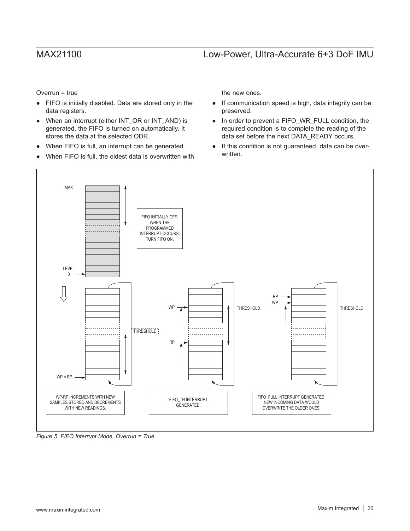Overrun = true

- FIFO is initially disabled. Data are stored only in the data registers.
- When an interrupt (either INT\_OR or INT\_AND) is generated, the FIFO is turned on automatically. It stores the data at the selected ODR.
- When FIFO is full, an interrupt can be generated.
- When FIFO is full, the oldest data is overwritten with

the new ones.

- If communication speed is high, data integrity can be preserved.
- In order to prevent a FIFO\_WR\_FULL condition, the required condition is to complete the reading of the data set before the next DATA\_READY occurs.
- If this condition is not guaranteed, data can be overwritten.



*Figure 5. FIFO Interrupt Mode, Overrun = True*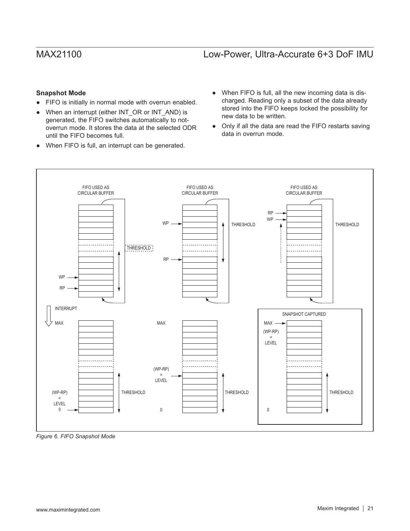### **Snapshot Mode**

- FIFO is initially in normal mode with overrun enabled.
- When an interrupt (either INT\_OR or INT\_AND) is generated, the FIFO switches automatically to notoverrun mode. It stores the data at the selected ODR until the FIFO becomes full.
- When FIFO is full, an interrupt can be generated.
- When FIFO is full, all the new incoming data is discharged. Reading only a subset of the data already stored into the FIFO keeps locked the possibility for new data to be written.
- Only if all the data are read the FIFO restarts saving data in overrun mode.



*Figure 6. FIFO Snapshot Mode*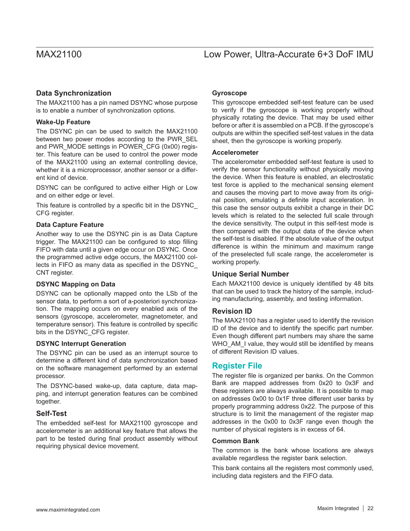# Low Power, Ultra-Accurate 6+3 DoF IMU

### **Data Synchronization**

The MAX21100 has a pin named DSYNC whose purpose is to enable a number of synchronization options.

### **Wake-Up Feature**

The DSYNC pin can be used to switch the MAX21100 between two power modes according to the PWR\_SEL and PWR\_MODE settings in POWER\_CFG (0x00) register. This feature can be used to control the power mode of the MAX21100 using an external controlling device, whether it is a microprocessor, another sensor or a different kind of device.

DSYNC can be configured to active either High or Low and on either edge or level.

This feature is controlled by a specific bit in the DSYNC\_ CFG register.

### **Data Capture Feature**

Another way to use the DSYNC pin is as Data Capture trigger. The MAX21100 can be configured to stop filling FIFO with data until a given edge occur on DSYNC. Once the programmed active edge occurs, the MAX21100 collects in FIFO as many data as specified in the DSYNC\_ CNT register.

### **DSYNC Mapping on Data**

DSYNC can be optionally mapped onto the LSb of the sensor data, to perform a sort of a-posteriori synchronization. The mapping occurs on every enabled axis of the sensors (gyroscope, accelerometer, magnetometer, and temperature sensor). This feature is controlled by specific bits in the DSYNC\_CFG register.

### **DSYNC Interrupt Generation**

The DSYNC pin can be used as an interrupt source to determine a different kind of data synchronization based on the software management performed by an external processor.

The DSYNC-based wake-up, data capture, data mapping, and interrupt generation features can be combined together.

### **Self-Test**

The embedded self-test for MAX21100 gyroscope and accelerometer is an additional key feature that allows the part to be tested during final product assembly without requiring physical device movement.

### **Gyroscope**

This gyroscope embedded self-test feature can be used to verify if the gyroscope is working properly without physically rotating the device. That may be used either before or after it is assembled on a PCB. If the gyroscope's outputs are within the specified self-test values in the data sheet, then the gyroscope is working properly.

### **Accelerometer**

The accelerometer embedded self-test feature is used to verify the sensor functionality without physically moving the device. When this feature is enabled, an electrostatic test force is applied to the mechanical sensing element and causes the moving part to move away from its original position, emulating a definite input acceleration. In this case the sensor outputs exhibit a change in their DC levels which is related to the selected full scale through the device sensitivity. The output in this self-test mode is then compared with the output data of the device when the self-test is disabled. If the absolute value of the output difference is within the minimum and maximum range of the preselected full scale range, the accelerometer is working properly.

### **Unique Serial Number**

Each MAX21100 device is uniquely identified by 48 bits that can be used to track the history of the sample, including manufacturing, assembly, and testing information.

### **Revision ID**

The MAX21100 has a register used to identify the revision ID of the device and to identify the specific part number. Even though different part numbers may share the same WHO\_AM\_I value, they would still be identified by means of different Revision ID values.

### **Register File**

The register file is organized per banks. On the Common Bank are mapped addresses from 0x20 to 0x3F and these registers are always available. It is possible to map on addresses 0x00 to 0x1F three different user banks by properly programming address 0x22. The purpose of this structure is to limit the management of the register map addresses in the 0x00 to 0x3F range even though the number of physical registers is in excess of 64.

### **Common Bank**

The common is the bank whose locations are always available regardless the register bank selection.

This bank contains all the registers most commonly used, including data registers and the FIFO data.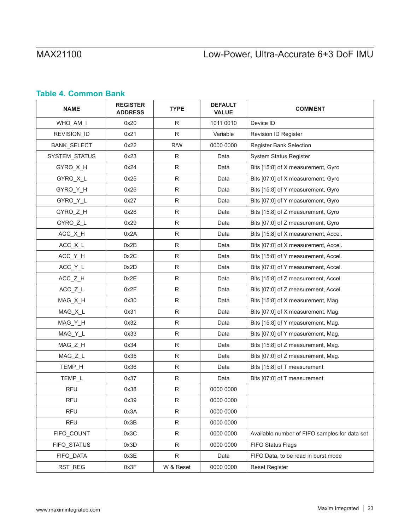# MAX21100

# Low-Power, Ultra-Accurate 6+3 DoF IMU

## **Table 4. Common Bank**

| <b>NAME</b>   | <b>REGISTER</b><br><b>ADDRESS</b> | <b>TYPE</b>  | <b>DEFAULT</b><br><b>VALUE</b> | <b>COMMENT</b>                                |
|---------------|-----------------------------------|--------------|--------------------------------|-----------------------------------------------|
| WHO_AM_I      | 0x20                              | ${\sf R}$    | 1011 0010                      | Device ID                                     |
| REVISION ID   | 0x21                              | $\mathsf{R}$ | Variable                       | Revision ID Register                          |
| BANK_SELECT   | 0x22                              | R/W          | 0000 0000                      | Register Bank Selection                       |
| SYSTEM_STATUS | 0x23                              | R            | Data                           | System Status Register                        |
| GYRO_X_H      | 0x24                              | $\mathsf{R}$ | Data                           | Bits [15:8] of X measurement, Gyro            |
| GYRO_X_L      | 0x25                              | R            | Data                           | Bits [07:0] of X measurement, Gyro            |
| GYRO_Y_H      | 0x26                              | R            | Data                           | Bits [15:8] of Y measurement, Gyro            |
| GYRO_Y_L      | 0x27                              | $\mathsf R$  | Data                           | Bits [07:0] of Y measurement, Gyro            |
| GYRO_Z_H      | 0x28                              | $\mathsf{R}$ | Data                           | Bits [15:8] of Z measurement, Gyro            |
| GYRO_Z_L      | 0x29                              | R            | Data                           | Bits [07:0] of Z measurement, Gyro            |
| ACC_X_H       | 0x2A                              | R            | Data                           | Bits [15:8] of X measurement, Accel.          |
| ACC_X_L       | 0x2B                              | R            | Data                           | Bits [07:0] of X measurement, Accel.          |
| ACC_Y_H       | 0x2C                              | R            | Data                           | Bits [15:8] of Y measurement, Accel.          |
| $ACC_Y_L$     | 0x2D                              | R            | Data                           | Bits [07:0] of Y measurement, Accel.          |
| ACC_Z_H       | 0x2E                              | R            | Data                           | Bits [15:8] of Z measurement, Accel.          |
| $ACC_Z_L$     | 0x2F                              | $\mathsf R$  | Data                           | Bits [07:0] of Z measurement, Accel.          |
| MAG_X_H       | 0x30                              | R            | Data                           | Bits [15:8] of X measurement, Mag.            |
| MAG_X_L       | 0x31                              | R            | Data                           | Bits [07:0] of X measurement, Mag.            |
| MAG_Y_H       | 0x32                              | ${\sf R}$    | Data                           | Bits [15:8] of Y measurement, Mag.            |
| MAG_Y_L       | 0x33                              | ${\sf R}$    | Data                           | Bits [07:0] of Y measurement, Mag.            |
| MAG_Z_H       | 0x34                              | R            | Data                           | Bits [15:8] of Z measurement, Mag.            |
| MAG_Z_L       | 0x35                              | R            | Data                           | Bits [07:0] of Z measurement, Mag.            |
| TEMP_H        | 0x36                              | $\mathsf R$  | Data                           | Bits [15:8] of T measurement                  |
| TEMP_L        | 0x37                              | $\mathsf R$  | Data                           | Bits [07:0] of T measurement                  |
| <b>RFU</b>    | 0x38                              | R            | 0000 0000                      |                                               |
| <b>RFU</b>    | 0x39                              | ${\sf R}$    | 0000 0000                      |                                               |
| <b>RFU</b>    | 0x3A                              | R            | 0000 0000                      |                                               |
| <b>RFU</b>    | 0x3B                              | ${\sf R}$    | 0000 0000                      |                                               |
| FIFO_COUNT    | 0x3C                              | $\mathsf R$  | 0000 0000                      | Available number of FIFO samples for data set |
| FIFO_STATUS   | 0x3D                              | ${\sf R}$    | 0000 0000                      | FIFO Status Flags                             |
| FIFO_DATA     | 0x3E                              | R            | Data                           | FIFO Data, to be read in burst mode           |
| RST_REG       | 0x3F                              | W & Reset    | 0000 0000                      | <b>Reset Register</b>                         |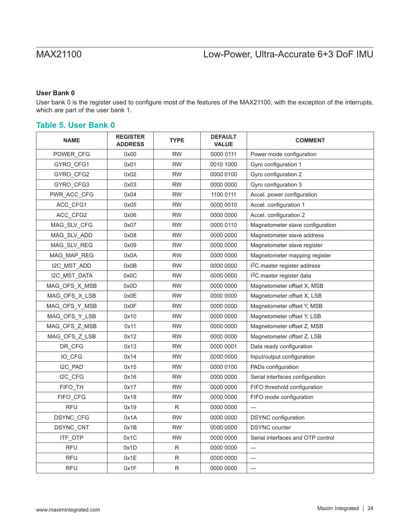### **User Bank 0**

User bank 0 is the register used to configure most of the features of the MAX21100, with the exception of the interrupts, which are part of the user bank 1.

### **Table 5. User Bank 0**

| <b>NAME</b>      | <b>REGISTER</b><br><b>ADDRESS</b> | <b>TYPE</b> | <b>DEFAULT</b><br><b>VALUE</b> | <b>COMMENT</b>                           |  |  |
|------------------|-----------------------------------|-------------|--------------------------------|------------------------------------------|--|--|
| POWER CFG        | 0x00                              | <b>RW</b>   | 0000 0111                      | Power mode configuration                 |  |  |
| GYRO_CFG1        | 0x01                              | <b>RW</b>   | 0010 1000                      | Gyro configuration 1                     |  |  |
| GYRO_CFG2        | 0x02                              | <b>RW</b>   | 0000 0100                      | Gyro configuration 2                     |  |  |
| GYRO_CFG3        | 0x03                              | <b>RW</b>   | 0000 0000                      | Gyro configuration 3                     |  |  |
| PWR_ACC_CFG      | 0x04                              | <b>RW</b>   | 1100 0111                      | Accel. power configuration               |  |  |
| ACC CFG1         | 0x05                              | <b>RW</b>   | 0000 0010                      | Accel. configuration 1                   |  |  |
| ACC_CFG2         | 0x06                              | <b>RW</b>   | 0000 0000                      | Accel. configuration 2                   |  |  |
| MAG_SLV_CFG      | 0x07                              | <b>RW</b>   | 0000 0110                      | Magnetometer slave configuration         |  |  |
| MAG_SLV_ADD      | 0x08                              | <b>RW</b>   | 0000 0000                      | Magnetometer slave address               |  |  |
| MAG_SLV_REG      | 0x09                              | <b>RW</b>   | 0000 0000                      | Magnetometer slave register              |  |  |
| MAG_MAP_REG      | 0x0A                              | <b>RW</b>   | 0000 0000                      | Magnetometer mapping register            |  |  |
| I2C_MST_ADD      | 0x0B                              | <b>RW</b>   | 0000 0000                      | I <sup>2</sup> C master register address |  |  |
| I2C MST DATA     | 0x0C                              | <b>RW</b>   | 0000 0000                      | I <sup>2</sup> C master register data    |  |  |
| MAG_OFS_X_MSB    | 0x0D                              | <b>RW</b>   | 0000 0000                      | Magnetometer offset X, MSB               |  |  |
| MAG_OFS_X_LSB    | 0x0E                              | <b>RW</b>   | 0000 0000                      | Magnetometer offset X, LSB               |  |  |
| MAG_OFS_Y_MSB    | 0x0F                              | <b>RW</b>   | 0000 0000                      | Magnetometer offset Y, MSB               |  |  |
| MAG_OFS_Y_LSB    | 0x10                              | <b>RW</b>   | 0000 0000                      | Magnetometer offset Y, LSB               |  |  |
| MAG OFS Z MSB    | 0x11                              | <b>RW</b>   | 0000 0000                      | Magnetometer offset Z, MSB               |  |  |
| MAG OFS Z LSB    | 0x12                              | <b>RW</b>   | 0000 0000                      | Magnetometer offset Z, LSB               |  |  |
| DR CFG           | 0x13                              | <b>RW</b>   | 0000 0001                      | Data ready configuration                 |  |  |
| IO CFG           | 0x14                              | <b>RW</b>   | 0000 0000                      | Input/output configuration               |  |  |
| I2C_PAD          | 0x15                              | <b>RW</b>   | 0000 0100                      | PADs configuration                       |  |  |
| I2C_CFG          | 0x16                              | <b>RW</b>   | 0000 0000                      | Serial interfaces configuration          |  |  |
| FIFO_TH          | 0x17                              | <b>RW</b>   | 0000 0000                      | FIFO threshold configuration             |  |  |
| FIFO_CFG         | 0x18                              | <b>RW</b>   | 0000 0000                      | FIFO mode configuration                  |  |  |
| <b>RFU</b>       | 0x19                              | R           | 0000 0000                      |                                          |  |  |
| <b>DSYNC CFG</b> | 0x1A                              | <b>RW</b>   | 0000 0000                      | <b>DSYNC</b> configuration               |  |  |
| DSYNC_CNT        | 0x1B                              | <b>RW</b>   | 0000 0000                      | <b>DSYNC</b> counter                     |  |  |
| ITF_OTP          | 0x1C                              | <b>RW</b>   | 0000 0000                      | Serial interfaces and OTP control        |  |  |
| <b>RFU</b>       | 0x1D                              | R           | 0000 0000                      |                                          |  |  |
| <b>RFU</b>       | 0x1E                              | R           | 0000 0000                      |                                          |  |  |
| <b>RFU</b>       | 0x1F                              | R           | 0000 0000                      | $\overline{\phantom{0}}$                 |  |  |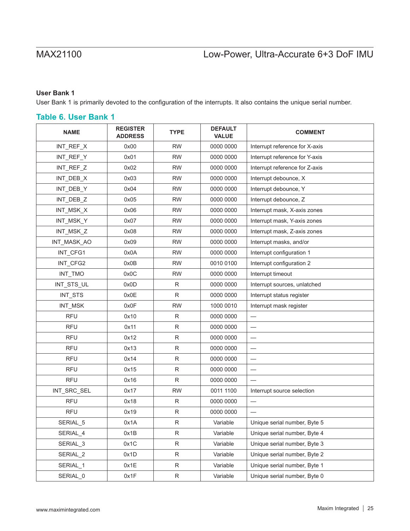### **User Bank 1**

User Bank 1 is primarily devoted to the configuration of the interrupts. It also contains the unique serial number.

### **Table 6. User Bank 1**

| <b>NAME</b> | <b>REGISTER</b><br><b>ADDRESS</b> | <b>TYPE</b>  | <b>DEFAULT</b><br><b>VALUE</b> | <b>COMMENT</b>                 |  |  |
|-------------|-----------------------------------|--------------|--------------------------------|--------------------------------|--|--|
| INT_REF_X   | 0x00                              | <b>RW</b>    | 0000 0000                      | Interrupt reference for X-axis |  |  |
| INT_REF_Y   | 0x01                              | <b>RW</b>    | 0000 0000                      | Interrupt reference for Y-axis |  |  |
| INT_REF_Z   | 0x02                              | <b>RW</b>    | 0000 0000                      | Interrupt reference for Z-axis |  |  |
| INT_DEB_X   | 0x03                              | <b>RW</b>    | 0000 0000                      | Interrupt debounce, X          |  |  |
| INT_DEB_Y   | 0x04                              | <b>RW</b>    | 0000 0000                      | Interrupt debounce, Y          |  |  |
| INT_DEB_Z   | 0x05                              | <b>RW</b>    | 0000 0000                      | Interrupt debounce, Z          |  |  |
| INT_MSK_X   | 0x06                              | <b>RW</b>    | 0000 0000                      | Interrupt mask, X-axis zones   |  |  |
| INT_MSK_Y   | 0x07                              | <b>RW</b>    | 0000 0000                      | Interrupt mask, Y-axis zones   |  |  |
| INT_MSK_Z   | 0x08                              | <b>RW</b>    | 0000 0000                      | Interrupt mask, Z-axis zones   |  |  |
| INT_MASK_AO | 0x09                              | <b>RW</b>    | 0000 0000                      | Interrupt masks, and/or        |  |  |
| INT_CFG1    | 0x0A                              | <b>RW</b>    | 0000 0000                      | Interrupt configuration 1      |  |  |
| INT_CFG2    | 0x0B                              | <b>RW</b>    | 0010 0100                      | Interrupt configuration 2      |  |  |
| INT_TMO     | 0x0C                              | <b>RW</b>    | 0000 0000                      | Interrupt timeout              |  |  |
| INT_STS_UL  | 0x0D                              | R            | 0000 0000                      | Interrupt sources, unlatched   |  |  |
| INT_STS     | 0x0E                              | R            | 0000 0000                      | Interrupt status register      |  |  |
| INT_MSK     | 0x0F                              | <b>RW</b>    | 1000 0010                      | Interrupt mask register        |  |  |
| <b>RFU</b>  | 0x10                              | R            | 0000 0000                      |                                |  |  |
| <b>RFU</b>  | 0x11                              | $\mathsf{R}$ | 0000 0000                      |                                |  |  |
| <b>RFU</b>  | 0x12                              | $\mathsf{R}$ | 0000 0000                      |                                |  |  |
| <b>RFU</b>  | 0x13                              | $\mathsf{R}$ | 0000 0000                      |                                |  |  |
| <b>RFU</b>  | 0x14                              | $\mathsf{R}$ | 0000 0000                      |                                |  |  |
| <b>RFU</b>  | 0x15                              | $\mathsf{R}$ | 0000 0000                      |                                |  |  |
| <b>RFU</b>  | 0x16                              | ${\sf R}$    | 0000 0000                      |                                |  |  |
| INT_SRC_SEL | 0x17                              | <b>RW</b>    | 0011 1100                      | Interrupt source selection     |  |  |
| <b>RFU</b>  | 0x18                              | R            | 0000 0000                      |                                |  |  |
| <b>RFU</b>  | 0x19                              | $\mathsf{R}$ | 0000 0000                      |                                |  |  |
| SERIAL_5    | 0x1A                              | R            | Variable                       | Unique serial number, Byte 5   |  |  |
| SERIAL_4    | 0x1B                              | R            | Variable                       | Unique serial number, Byte 4   |  |  |
| SERIAL_3    | 0x1C                              | $\mathsf{R}$ | Variable                       | Unique serial number, Byte 3   |  |  |
| SERIAL_2    | 0x1D                              | ${\sf R}$    | Variable                       | Unique serial number, Byte 2   |  |  |
| SERIAL_1    | 0x1E                              | R            | Variable                       | Unique serial number, Byte 1   |  |  |
| SERIAL_0    | 0x1F                              | ${\sf R}$    | Variable                       | Unique serial number, Byte 0   |  |  |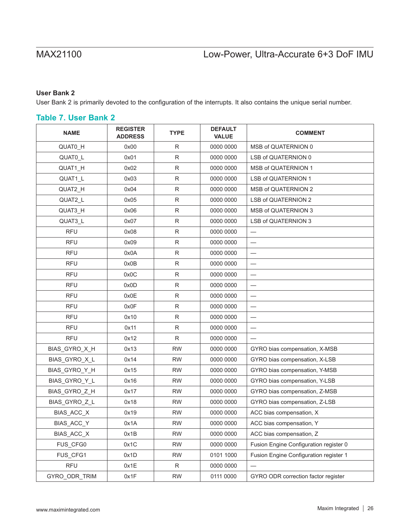### **User Bank 2**

User Bank 2 is primarily devoted to the configuration of the interrupts. It also contains the unique serial number.

### **Table 7. User Bank 2**

| <b>NAME</b>   | <b>REGISTER</b><br><b>ADDRESS</b> | <b>TYPE</b>  | <b>DEFAULT</b><br><b>VALUE</b> | <b>COMMENT</b>                         |  |
|---------------|-----------------------------------|--------------|--------------------------------|----------------------------------------|--|
| QUAT0_H       | 0x00                              | $\mathsf{R}$ | 0000 0000                      | MSB of QUATERNION 0                    |  |
| QUATO_L       | 0x01                              | ${\sf R}$    | 0000 0000                      | LSB of QUATERNION 0                    |  |
| QUAT1_H       | 0x02                              | $\mathsf R$  | 0000 0000                      | <b>MSB of QUATERNION 1</b>             |  |
| QUAT1_L       | 0x03                              | $\mathsf R$  | 0000 0000                      | <b>LSB of QUATERNION 1</b>             |  |
| QUAT2_H       | 0x04                              | $\mathsf R$  | 0000 0000                      | <b>MSB of QUATERNION 2</b>             |  |
| QUAT2_L       | 0x05                              | R            | 0000 0000                      | <b>LSB of QUATERNION 2</b>             |  |
| QUAT3_H       | 0x06                              | $\mathsf R$  | 0000 0000                      | MSB of QUATERNION 3                    |  |
| QUAT3_L       | 0x07                              | $\mathsf R$  | 0000 0000                      | <b>LSB of QUATERNION 3</b>             |  |
| <b>RFU</b>    | 0x08                              | $\mathsf R$  | 0000 0000                      |                                        |  |
| <b>RFU</b>    | 0x09                              | ${\sf R}$    | 0000 0000                      |                                        |  |
| <b>RFU</b>    | 0x0A                              | $\mathsf R$  | 0000 0000                      | $\overbrace{\phantom{123221111}}$      |  |
| <b>RFU</b>    | 0x0B                              | $\mathsf R$  | 0000 0000                      | $\overline{\phantom{0}}$               |  |
| <b>RFU</b>    | 0x0C                              | $\mathsf R$  | 0000 0000                      |                                        |  |
| <b>RFU</b>    | 0x0D                              | $\mathsf R$  | 0000 0000                      |                                        |  |
| <b>RFU</b>    | 0x0E                              | R            | 0000 0000                      | $\overline{\phantom{0}}$               |  |
| <b>RFU</b>    | 0x0F                              | ${\sf R}$    | 0000 0000                      |                                        |  |
| <b>RFU</b>    | 0x10                              | $\mathsf R$  | 0000 0000                      |                                        |  |
| <b>RFU</b>    | 0x11                              | $\mathsf R$  | 0000 0000                      |                                        |  |
| <b>RFU</b>    | 0x12                              | $\mathsf R$  | 0000 0000                      |                                        |  |
| BIAS_GYRO_X_H | 0x13                              | <b>RW</b>    | 0000 0000                      | GYRO bias compensation, X-MSB          |  |
| BIAS_GYRO_X_L | 0x14                              | <b>RW</b>    | 0000 0000                      | GYRO bias compensation, X-LSB          |  |
| BIAS_GYRO_Y_H | 0x15                              | <b>RW</b>    | 0000 0000                      | GYRO bias compensation, Y-MSB          |  |
| BIAS_GYRO_Y_L | 0x16                              | <b>RW</b>    | 0000 0000                      | GYRO bias compensation, Y-LSB          |  |
| BIAS_GYRO_Z_H | 0x17                              | <b>RW</b>    | 0000 0000                      | GYRO bias compensation, Z-MSB          |  |
| BIAS GYRO Z L | 0x18                              | <b>RW</b>    | 0000 0000                      | GYRO bias compensation, Z-LSB          |  |
| BIAS_ACC_X    | 0x19                              | <b>RW</b>    | 0000 0000                      | ACC bias compensation, X               |  |
| BIAS_ACC_Y    | 0x1A                              | <b>RW</b>    | 0000 0000                      | ACC bias compensation, Y               |  |
| BIAS_ACC_X    | 0x1B                              | <b>RW</b>    | 0000 0000                      | ACC bias compensation, Z               |  |
| FUS_CFG0      | 0x1C                              | <b>RW</b>    | 0000 0000                      | Fusion Engine Configuration register 0 |  |
| FUS_CFG1      | 0x1D                              | <b>RW</b>    | 0101 1000                      | Fusion Engine Configuration register 1 |  |
| <b>RFU</b>    | 0x1E                              | R            | 0000 0000                      |                                        |  |
| GYRO_ODR_TRIM | 0x1F                              | <b>RW</b>    | 0111 0000                      | GYRO ODR correction factor register    |  |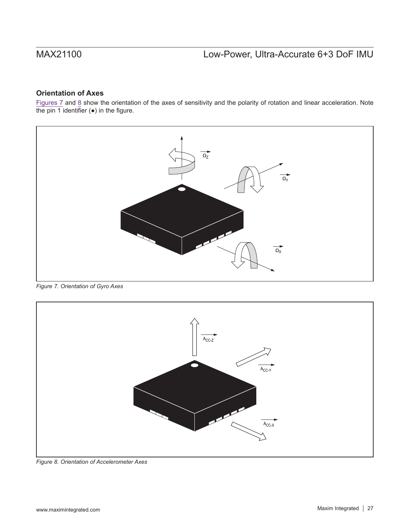## **Orientation of Axes**

Figures  $7$  and  $8$  show the orientation of the axes of sensitivity and the polarity of rotation and linear acceleration. Note the pin 1 identifier  $(•)$  in the figure.

<span id="page-26-0"></span>

*Figure 7. Orientation of Gyro Axes*

<span id="page-26-1"></span>

*Figure 8. Orientation of Accelerometer Axes*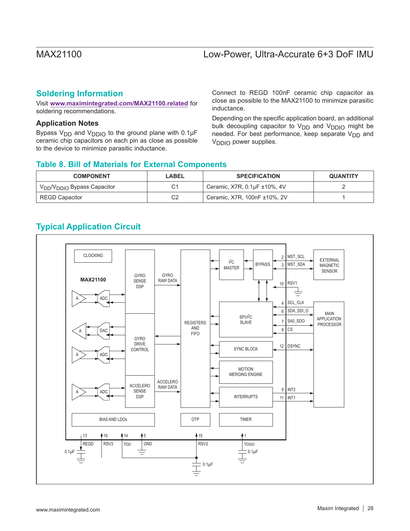## **Soldering Information**

Visit **www.maximintegrated.com/MAX21100.related** for soldering recommendations.

### **Application Notes**

Bypass  $V_{DD}$  and  $V_{DDIO}$  to the ground plane with 0.1 $\mu$ F ceramic chip capacitors on each pin as close as possible to the device to minimize parasitic inductance.

Connect to REGD 100nF ceramic chip capacitor as close as possible to the MAX21100 to minimize parasitic inductance.

Depending on the specific application board, an additional bulk decoupling capacitor to  $V_{DD}$  and  $V_{DDIO}$  might be needed. For best performance, keep separate  $V_{DD}$  and V<sub>DDIO</sub> power supplies.

### **Table 8. Bill of Materials for External Components**

| <b>COMPONENT</b>                                    | LABEL | <b>SPECIFICATION</b>         | <b>QUANTITY</b> |
|-----------------------------------------------------|-------|------------------------------|-----------------|
| V <sub>DD</sub> /V <sub>DDIO</sub> Bypass Capacitor | ⌒     | Ceramic, X7R, 0.1µF ±10%, 4V |                 |
| REGD Capacitor                                      | C2    | Ceramic, X7R, 100nF ±10%, 2V |                 |

## **Typical Application Circuit**

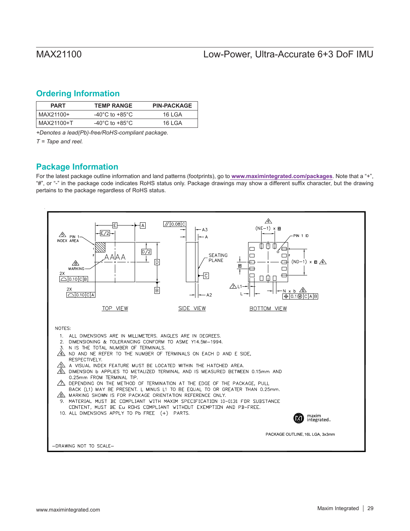## <span id="page-28-0"></span>**Ordering Information**

| <b>PART</b> | <b>TEMP RANGE</b>                    | <b>PIN-PACKAGE</b> |
|-------------|--------------------------------------|--------------------|
| l MAX21100+ | -40 $^{\circ}$ C to +85 $^{\circ}$ C | 16 I GA            |
| MAX21100+T  | -40 $^{\circ}$ C to +85 $^{\circ}$ C | 16 I GA            |

*+Denotes a lead(Pb)-free/RoHS-compliant package.*

*T = Tape and reel.*

## **Package Information**

For the latest package outline information and land patterns (footprints), go to **www.maximintegrated.com/packages**. Note that a "+", "#", or "-" in the package code indicates RoHS status only. Package drawings may show a different suffix character, but the drawing pertains to the package regardless of RoHS status.

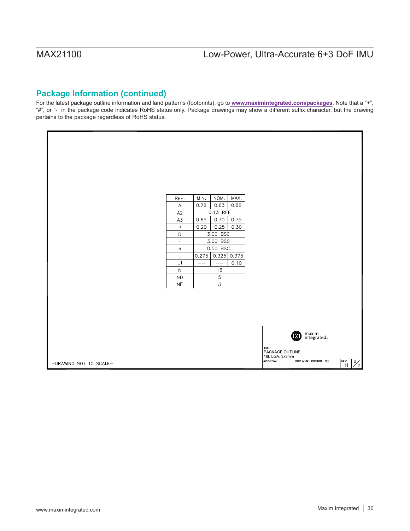## **Package Information (continued)**

For the latest package outline information and land patterns (footprints), go to **www.maximintegrated.com/packages**. Note that a "+", "#", or "-" in the package code indicates RoHS status only. Package drawings may show a different suffix character, but the drawing pertains to the package regardless of RoHS status.

|                        | REF.                              | MIN.   | NOM.           | MAX. |                 |                  |                          |                         |
|------------------------|-----------------------------------|--------|----------------|------|-----------------|------------------|--------------------------|-------------------------|
|                        | $\mathsf A$                       | 0.78   | 0.83           | 0.88 |                 |                  |                          |                         |
|                        | A2                                |        | 0.13 REF       |      |                 |                  |                          |                         |
|                        | A3                                | 0.65   | 0.70           | 0.75 |                 |                  |                          |                         |
|                        | $\circ$                           | 0.20   | 0.25           | 0.30 |                 |                  |                          |                         |
|                        | D                                 |        | 3.00 BSC       |      |                 |                  |                          |                         |
|                        | E                                 |        | 3.00 BSC       |      |                 |                  |                          |                         |
|                        | $\mathsf{e}% _{t}\left( t\right)$ |        | 0.50 BSC       |      |                 |                  |                          |                         |
|                        | Г                                 | 0.275  | 0.325   0.375  |      |                 |                  |                          |                         |
|                        | L1<br>$\mathbb N$                 | $-\,-$ | $-\,-$<br>16   | 0.10 |                 |                  |                          |                         |
|                        | <b>ND</b>                         |        | $\mathsf S$    |      |                 |                  |                          |                         |
|                        | <b>NE</b>                         |        | $\overline{3}$ |      |                 |                  |                          |                         |
|                        |                                   |        |                |      |                 |                  |                          |                         |
|                        |                                   |        |                |      |                 |                  |                          |                         |
|                        |                                   |        |                |      |                 |                  |                          |                         |
|                        |                                   |        |                |      |                 |                  |                          |                         |
|                        |                                   |        |                |      |                 |                  |                          |                         |
|                        |                                   |        |                |      |                 |                  |                          |                         |
|                        |                                   |        |                |      |                 |                  | maxim<br>integrated<br>0 |                         |
|                        |                                   |        |                |      |                 |                  |                          |                         |
|                        |                                   |        |                |      | TITLE:          | PACKAGE OUTLINE, |                          |                         |
|                        |                                   |        |                |      |                 | 16L LGA, 3x3mm   |                          |                         |
| -DRAWING NOT TO SCALE- |                                   |        |                |      | <b>APPROVAL</b> |                  | DOCUMENT CONTROL NO.     | REV. H<br>$\frac{2}{2}$ |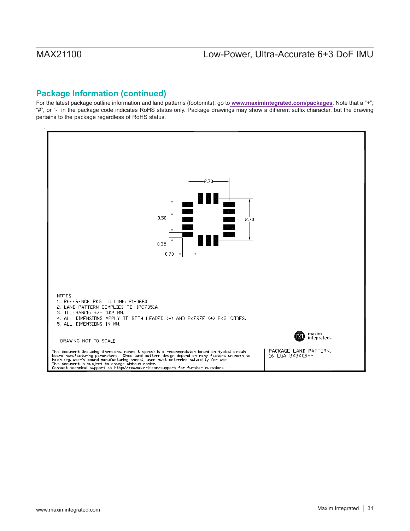## **Package Information (continued)**

For the latest package outline information and land patterns (footprints), go to **www.maximintegrated.com/packages**. Note that a "+", "#", or "-" in the package code indicates RoHS status only. Package drawings may show a different suffix character, but the drawing pertains to the package regardless of RoHS status.